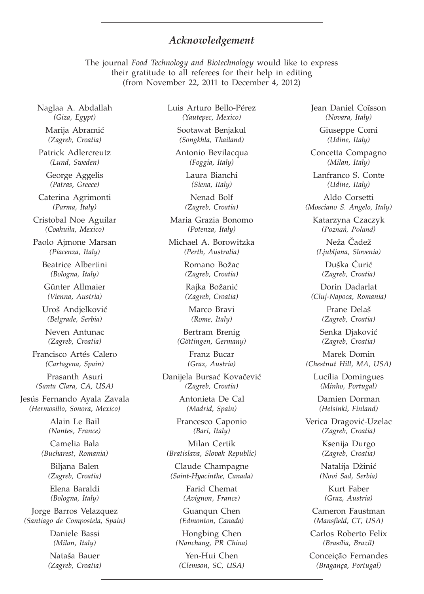## *Acknowledgement*

The journal *Food Technology and Biotechnology* would like to express their gratitude to all referees for their help in editing (from November 22, 2011 to December 4, 2012)

Naglaa A. Abdallah *(Giza, Egypt)*

Marija Abramić *(Zagreb, Croatia)*

Patrick Adlercreutz *(Lund, Sweden)*

George Aggelis *(Patras, Greece)*

Caterina Agrimonti *(Parma, Italy)*

Cristobal Noe Aguilar *(Coahuila, Mexico)*

Paolo Ajmone Marsan *(Piacenza, Italy)*

> Beatrice Albertini *(Bologna, Italy)*

Günter Allmaier *(Vienna, Austria)*

Uroš Andjelković *(Belgrade, Serbia)*

Neven Antunac *(Zagreb, Croatia)*

Francisco Artés Calero *(Cartagena, Spain)*

Prasanth Asuri *(Santa Clara, CA, USA)*

Jesús Fernando Ayala Zavala *(Hermosillo, Sonora, Mexico)*

> Alain Le Bail *(Nantes, France)*

Camelia Bala *(Bucharest, Romania)*

> Biljana Balen *(Zagreb, Croatia)*

Elena Baraldi *(Bologna, Italy)*

Jorge Barros Velazquez *(Santiago de Compostela, Spain)*

> Daniele Bassi *(Milan, Italy)*

Nataša Bauer *(Zagreb, Croatia)* Luis Arturo Bello-Pérez *(Yautepec, Mexico)*

> Sootawat Benjakul *(Songkhla, Thailand)*

Antonio Bevilacqua *(Foggia, Italy)*

> Laura Bianchi *(Siena, Italy)*

Nenad Bolf *(Zagreb, Croatia)*

Maria Grazia Bonomo *(Potenza, Italy)*

Michael A. Borowitzka *(Perth, Australia)*

> Romano Božac *(Zagreb, Croatia)*

Rajka Božanić *(Zagreb, Croatia)*

Marco Bravi *(Rome, Italy)*

Bertram Brenig *(Göttingen, Germany)*

> Franz Bucar *(Graz, Austria)*

Danijela Bursać Kovačević *(Zagreb, Croatia)*

> Antonieta De Cal *(Madrid, Spain)*

Francesco Caponio *(Bari, Italy)*

Milan Certik *(Bratislava, Slovak Republic)*

Claude Champagne *(Saint-Hyacinthe, Canada)*

> Farid Chemat *(Avignon, France)*

Guanqun Chen *(Edmonton, Canada)*

Hongbing Chen *(Nanchang, PR China)*

Yen-Hui Chen *(Clemson, SC, USA)* Jean Daniel Coïsson *(Novara, Italy)*

> Giuseppe Comi *(Udine, Italy)*

Concetta Compagno *(Milan, Italy)*

Lanfranco S. Conte *(Udine, Italy)*

Aldo Corsetti *(Mosciano S. Angelo, Italy)*

Katarzyna Czaczyk *(Poznañ, Poland)*

Neža Čadež *(Ljubljana, Slovenia)*

Duška Ćurić *(Zagreb, Croatia)*

Dorin Dadarlat *(Cluj-Napoca, Romania)*

> Frane Delaš *(Zagreb, Croatia)*

Senka Djaković *(Zagreb, Croatia)*

Marek Domin *(Chestnut Hill, MA, USA)*

Lucília Domingues *(Minho, Portugal)*

Damien Dorman *(Helsinki, Finland)*

Verica Dragović-Uzelac *(Zagreb, Croatia)*

> Ksenija Durgo *(Zagreb, Croatia)*

Natalija Džinić *(Novi Sad, Serbia)*

Kurt Faber *(Graz, Austria)*

Cameron Faustman *(Mansfield, CT, USA)*

Carlos Roberto Felix *(Brasília, Brazil)*

Conceição Fernandes *(Bragança, Portugal)*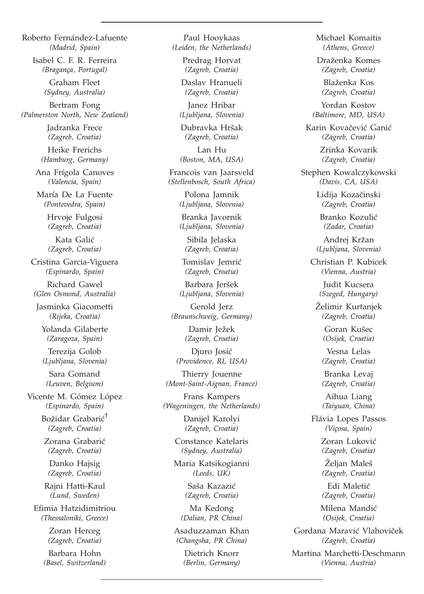Roberto Fernández-Lafuente *(Madrid, Spain)*

> Isabel C. F. R. Ferreira *(Bragança, Portugal)*

> > Graham Fleet *(Sydney, Australia)*

Bertram Fong *(Palmerston North, New Zealand)*

> Jadranka Frece *(Zagreb, Croatia)*

Heike Frerichs *(Hamburg, Germany)*

Ana Frígola Canoves *(Valencia, Spain)*

María De La Fuente *(Pontevedra, Spain)*

> Hrvoje Fulgosi *(Zagreb, Croatia)*

Kata Galić *(Zagreb, Croatia)*

Cristina Garcia-Viguera *(Espinardo, Spain)*

Richard Gawel *(Glen Osmond, Australia)*

Jasminka Giacometti *(Rijeka, Croatia)*

Yolanda Gilaberte *(Zaragoza, Spain)*

Terezija Golob *(Ljubljana, Slovenia)*

Sara Gomand *(Leuven, Belgium)*

Vicente M. Gómez López *(Espinardo, Spain)*

> Božidar Grabarić<sup>†</sup> *(Zagreb, Croatia)*

Zorana Grabarić *(Zagreb, Croatia)*

Danko Hajsig *(Zagreb, Croatia)*

Rajni Hatti-Kaul *(Lund, Sweden)*

Efimia Hatzidimitriou *(Thessaloniki, Greece)*

> Zoran Herceg *(Zagreb, Croatia)*

Barbara Hohn *(Basel, Switzerland)*

Paul Hooykaas *(Leiden, the Netherlands)*

Predrag Horvat *(Zagreb, Croatia)*

Daslav Hranueli *(Zagreb, Croatia)*

Janez Hribar *(Ljubljana, Slovenia)*

Dubravka Hršak *(Zagreb, Croatia)*

Lan Hu *(Boston, MA, USA)*

Francois van Jaarsveld *(Stellenbosch, South Africa)*

> Polona Jamnik *(Ljubljana, Slovenia)*

Branka Javornik *(Ljubljana, Slovenia)*

Sibila Jelaska *(Zagreb, Croatia)*

Tomislav Jemrić *(Zagreb, Croatia)*

Barbara Jeršek *(Ljubljana, Slovenia)*

Gerold Jerz *(Braunschweig, Germany)*

> Damir Ježek *(Zagreb, Croatia)*

Diuro Iosić *(Providence, RI, USA)*

Thierry Jouenne *(Mont-Saint-Aignan, France)*

Frans Kampers *(Wageningen, the Netherlands)*

> Danijel Karolyi *(Zagreb, Croatia)*

Constance Katelaris *(Sydney, Australia)*

Maria Katsikogianni *(Leeds, UK)*

> Saša Kazazić *(Zagreb, Croatia)*

Ma Kedong *(Dalian, PR China)*

Asaduzzaman Khan *(Changsha, PR China)*

> Dietrich Knorr *(Berlin, Germany)*

Michael Komaitis *(Athens, Greece)* Draženka Komes *(Zagreb, Croatia)* Blaženka Kos *(Zagreb, Croatia)* Yordan Kostov *(Baltimore, MD, USA)* Karin Kovačević Ganić *(Zagreb, Croatia)* Zrinka Kovarik *(Zagreb, Croatia)* Stephen Kowalczykowski *(Davis, CA, USA)* Lidija Kozačinski *(Zagreb, Croatia)* Branko Kozulić *(Zadar, Croatia)* Andrej Kržan *(Ljubljana, Slovenia)* Christian P. Kubicek *(Vienna, Austria)* Judit Kucsera *(Szeged, Hungary)* Želimir Kurtanjek *(Zagreb, Croatia)* Goran Kušec *(Osijek, Croatia)* Vesna Lelas *(Zagreb, Croatia)* Branka Levaj *(Zagreb, Croatia)* Aihua Liang *(Taiyuan, China)* Flávia Lopes Passos *(Viçosa, Spain)* Zoran Luković *(Zagreb, Croatia)* Željan Maleš *(Zagreb, Croatia)* Edi Maletić *(Zagreb, Croatia)* Milena Mandić *(Osijek, Croatia)* Gordana Maravić Vlahoviček *(Zagreb, Croatia)* Martina Marchetti-Deschmann

*(Vienna, Austria)*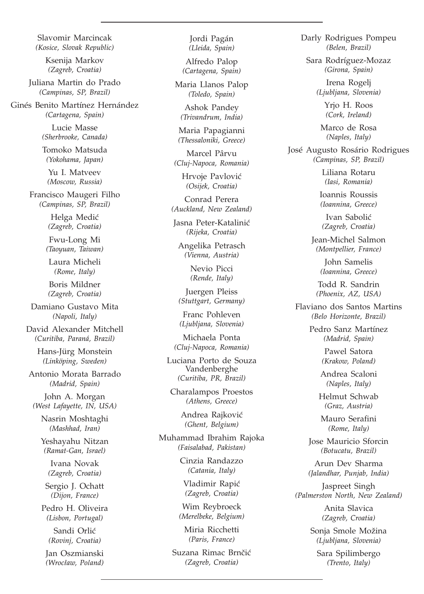Slavomir Marcincak *(Kosice, Slovak Republic)*

> Ksenija Markov *(Zagreb, Croatia)*

Juliana Martin do Prado *(Campinas, SP, Brazil)*

Ginés Benito Martínez Hernández *(Cartagena, Spain)*

> Lucie Masse *(Sherbrooke, Canada)*

> Tomoko Matsuda *(Yokohama, Japan)*

Yu I. Matveev *(Moscow, Russia)*

Francisco Maugeri Filho *(Campinas, SP, Brazil)*

> Helga Medić *(Zagreb, Croatia)*

Fwu-Long Mi *(Taoyuan, Taiwan)*

Laura Micheli *(Rome, Italy)*

Boris Mildner *(Zagreb, Croatia)*

Damiano Gustavo Mita *(Napoli, Italy)*

David Alexander Mitchell *(Curitiba, Paraná, Brazil)*

> Hans-Jürg Monstein *(Linköping, Sweden)*

Antonio Morata Barrado *(Madrid, Spain)*

John A. Morgan *(West Lafayette, IN, USA)*

> Nasrin Moshtaghi *(Mashhad, Iran)*

> Yeshayahu Nitzan *(Ramat-Gan, Israel)*

Ivana Novak *(Zagreb, Croatia)*

Sergio J. Ochatt *(Dijon, France)*

Pedro H. Oliveira *(Lisbon, Portugal)* Sandi Orlić

*(Rovinj, Croatia)*

Jan Oszmianski *(Wroc³aw, Poland)*

Jordi Pagán *(Lleida, Spain)*

Alfredo Palop *(Cartagena, Spain)*

Maria Llanos Palop *(Toledo, Spain)*

Ashok Pandey *(Trivandrum, India)*

Maria Papagianni *(Thessaloniki, Greece)*

Marcel Pârvu *(Cluj-Napoca, Romania)*

> Hrvoje Pavlović *(Osijek, Croatia)*

Conrad Perera *(Auckland, New Zealand)*

Jasna Peter-Katalinić *(Rijeka, Croatia)*

Angelika Petrasch *(Vienna, Austria)*

> Nevio Picci *(Rende, Italy)*

Juergen Pleiss *(Stuttgart, Germany)*

Franc Pohleven *(Ljubljana, Slovenia)*

Michaela Ponta *(Cluj-Napoca, Romania)*

Luciana Porto de Souza Vandenberghe *(Curitiba, PR, Brazil)*

Charalampos Proestos *(Athens, Greece)*

> Andrea Raiković *(Ghent, Belgium)*

Muhammad Ibrahim Rajoka *(Faisalabad, Pakistan)*

> Cinzia Randazzo *(Catania, Italy)*

Vladimir Rapić *(Zagreb, Croatia)*

Wim Reybroeck *(Merelbeke, Belgium)*

Miria Ricchetti *(Paris, France)*

Suzana Rimac Brnčić *(Zagreb, Croatia)*

Darly Rodrigues Pompeu *(Belen, Brazil)*

Sara Rodríguez-Mozaz *(Girona, Spain)*

> Irena Rogelj *(Ljubljana, Slovenia)*

> > Yrjo H. Roos *(Cork, Ireland)*

Marco de Rosa *(Naples, Italy)*

José Augusto Rosário Rodrigues *(Campinas, SP, Brazil)*

> Liliana Rotaru *(Iasi, Romania)*

Ioannis Roussis *(Ioannina, Greece)*

Ivan Sabolić *(Zagreb, Croatia)*

Jean-Michel Salmon *(Montpellier, France)*

> John Samelis *(Ioannina, Greece)*

Todd R. Sandrin *(Phoenix, AZ, USA)*

Flaviano dos Santos Martins *(Belo Horizonte, Brazil)*

> Pedro Sanz Martínez *(Madrid, Spain)*

> > Pawel Satora *(Krakow, Poland)*

Andrea Scaloni *(Naples, Italy)*

Helmut Schwab *(Graz, Austria)*

Mauro Serafini *(Rome, Italy)*

Jose Mauricio Sforcin *(Botucatu, Brazil)*

Arun Dev Sharma *(Jalandhar, Punjab, India)*

Jaspreet Singh *(Palmerston North, New Zealand)*

> Anita Slavica *(Zagreb, Croatia)*

Sonja Smole Možina *(Ljubljana, Slovenia)*

Sara Spilimbergo *(Trento, Italy)*